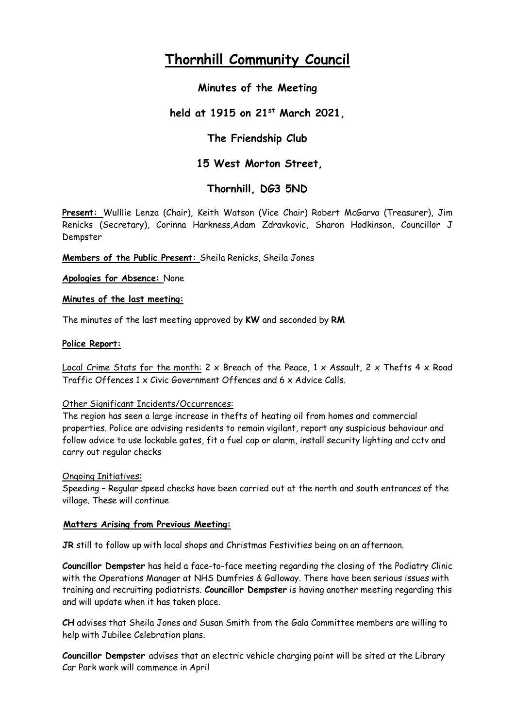# **Thornhill Community Council**

# **Minutes of the Meeting**

# **held at 1915 on 21st March 2021,**

# **The Friendship Club**

# **15 West Morton Street,**

# **Thornhill, DG3 5ND**

**Present:** Wulllie Lenza (Chair), Keith Watson (Vice Chair) Robert McGarva (Treasurer), Jim Renicks (Secretary), Corinna Harkness,Adam Zdravkovic, Sharon Hodkinson, Councillor J Dempster

**Members of the Public Present:** Sheila Renicks, Sheila Jones

**Apologies for Absence:** None

### **Minutes of the last meeting:**

The minutes of the last meeting approved by **KW** and seconded by **RM**

### **Police Report:**

Local Crime Stats for the month: 2 x Breach of the Peace, 1 x Assault, 2 x Thefts 4 x Road Traffic Offences 1 x Civic Government Offences and 6 x Advice Calls.

### Other Significant Incidents/Occurrences:

The region has seen a large increase in thefts of heating oil from homes and commercial properties. Police are advising residents to remain vigilant, report any suspicious behaviour and follow advice to use lockable gates, fit a fuel cap or alarm, install security lighting and cctv and carry out regular checks

#### Ongoing Initiatives:

Speeding – Regular speed checks have been carried out at the north and south entrances of the village. These will continue

### **Matters Arising from Previous Meeting:**

**JR** still to follow up with local shops and Christmas Festivities being on an afternoon.

**Councillor Dempster** has held a face-to-face meeting regarding the closing of the Podiatry Clinic with the Operations Manager at NHS Dumfries & Galloway. There have been serious issues with training and recruiting podiatrists. **Councillor Dempster** is having another meeting regarding this and will update when it has taken place.

**CH** advises that Sheila Jones and Susan Smith from the Gala Committee members are willing to help with Jubilee Celebration plans.

**Councillor Dempster** advises that an electric vehicle charging point will be sited at the Library Car Park work will commence in April